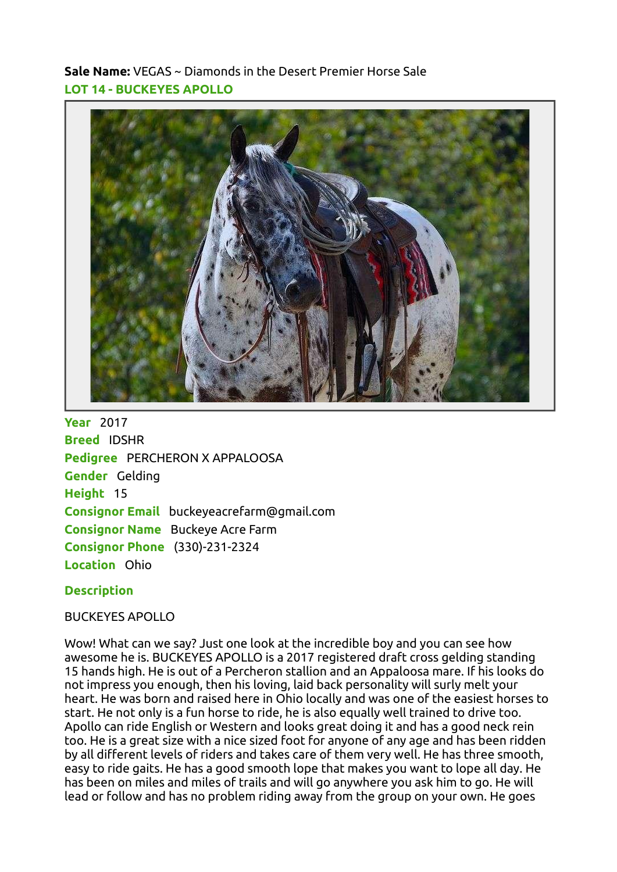Sale Name: VEGAS ~ Diamonds in the Desert Premier Horse Sale LOT 14 - BUCKEYES APOLLO



**Year** 2017 Breed IDSHR Pedigree PERCHERON X APPALOOSA Gender Gelding Height 15 Consignor Email buckeyeacrefarm@gmail.com **Consignor Name** Buckeye Acre Farm Consignor Phone (330)-231-2324 Location Ohio

## **Description**

## BUCKEYES APOLLO

Wow! What can we say? Just one look at the incredible boy and you can see how awesome he is. BUCKEYES APOLLO is a 2017 registered draft cross gelding standing 15 hands high. He is out of a Percheron stallion and an Appaloosa mare. If his looks do not impress you enough, then his loving, laid back personality will surly melt your heart. He was born and raised here in Ohio locally and was one of the easiest horses to start. He not only is a fun horse to ride, he is also equally well trained to drive too. Apollo can ride English or Western and looks great doing it and has a good neck rein too. He is a great size with a nice sized foot for anyone of any age and has been ridden by all different levels of riders and takes care of them very well. He has three smooth, easy to ride gaits. He has a good smooth lope that makes you want to lope all day. He has been on miles and miles of trails and will go anywhere you ask him to go. He will lead or follow and has no problem riding away from the group on your own. He goes